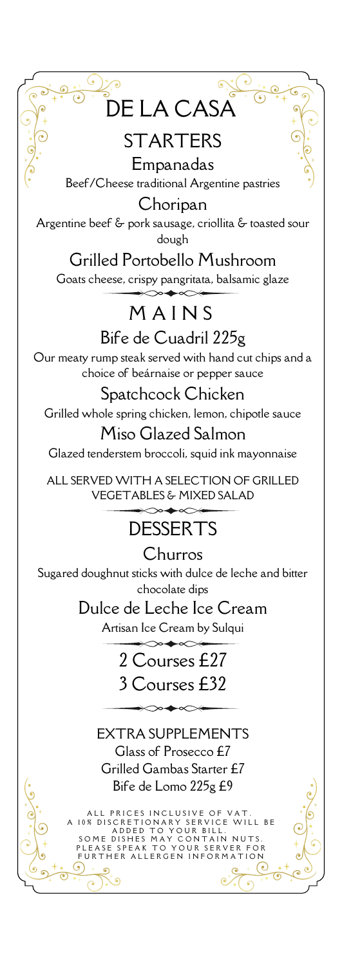

## **STARTERS**

Empanadas Beef/Cheese traditional Argentine pastries

Choripan Argentine beef & pork sausage, criollita & toasted sour dough

### Grilled Portobello Mushroom

Goats cheese, crispy pangritata, balsamic glaze

## **MAINS**

Bife de Cuadril 225g Our meaty rump steak served with hand cut chips and a choice of beárnaise or pepper sauce

Spatchcock Chicken Grilled whole spring chicken, lemon, chipotle sauce

Miso Glazed Salmon Glazed tenderstem broccoli, squid ink mayonnaise

ALL SERVED WITH A SELECTION OF GRILLED VEGETABLES & MIXED SALAD

# **DESSERTS**

Churros Sugared doughnut sticks with dulce de leche and bitter chocolate dips

> Dulce de Leche Ice Cream Artisan Ice Cream by Sulqui

> > 2 Courses £27 3 Courses £32

EXTRA SUPPLEMENTS Glass of Prosecco £7 Grilled Gambas Starter £7 Bife de Lomo 225g £9

ALL PRICES INCLUSIVE OF VAT.<br>A 10% DISCRETIONARY SERVICE WILL BE<br>ADDED TO YOUR BILL.<br>SOME DISHES MAY CONTAIN NUTS.<br>PLEASE SPEAK TO YOUR SERVER FOR F URTHER ALLERGEN INFORMA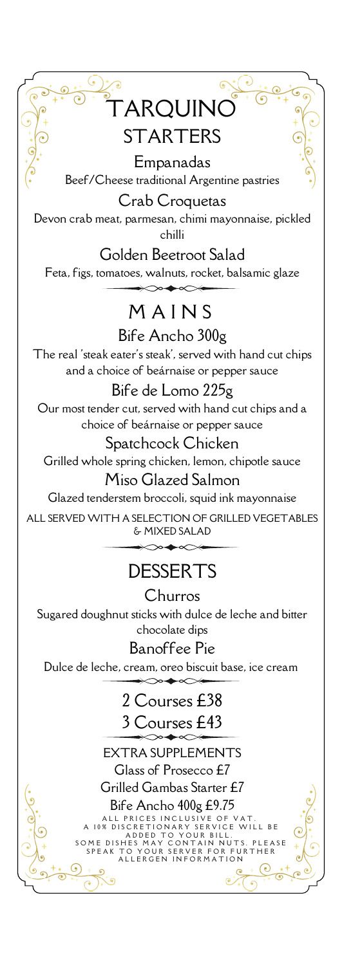

Empanadas Beef/Cheese traditional Argentine pastries Crab Croquetas

Devon crab meat, parmesan, chimi mayonnaise, pickled chilli

Golden Beetroot Salad Feta, figs, tomatoes, walnuts, rocket, balsamic glaze

# M A I N S

Bife Ancho 300g The real 'steak eater's steak', served with hand cut chips and a choice of beárnaise or pepper sauce

#### Bife de Lomo 225g

Our most tender cut, served with hand cut chips and a choice of beárnaise or pepper sauce

#### Spatchcock Chicken

Grilled whole spring chicken, lemon, chipotle sauce

#### Miso Glazed Salmon

Glazed tenderstem broccoli, squid ink mayonnaise

ALL SERVED WITH A SELECTION OF GRILLED VEGETABLES & MIXED SALAD

## **DESSERTS**

# **Churros**

Sugared doughnut sticks with dulce de leche and bitter chocolate dips

#### Banoffee Pie

Dulce de leche, cream, oreo biscuit base, ice cream

## 2 Courses £38

### ourses £43

EXTRA SUPPLEMENTS Glass of Prosecco £7 Grilled Gambas Starter £7 Bife Ancho 400g £9.75

A LL PRICES IN CLUSIVE OF VAT.<br>A 10% DISCRETIONARY SERVICE WILL BE O YOUR BILL.<br>CONTAIN NUTS. ADDED TO YOUR BILL.<br>SOME DISHES MAY CONTAIN NUTS. PLEASE<br>SPEAK TO YOUR SERVER FOR FURTHER SPEAK TO YOUR SERVER FOR FURTHER<br>ALLERGEN INFORMATION